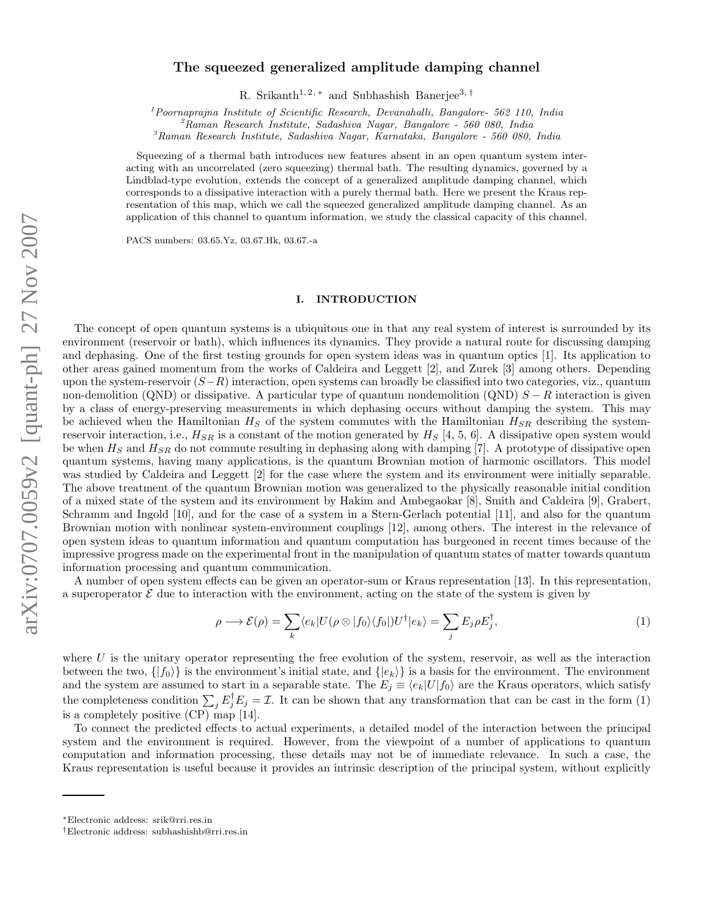# The squeezed generalized amplitude damping channel

R. Srikanth<sup>1, 2, \*</sup> and Subhashish Banerjee<sup>3, †</sup>

 $1$ Poornaprajna Institute of Scientific Research, Devanahalli, Bangalore- 562 110, India

 ${}^{2}$ Raman Research Institute, Sadashiva Nagar, Bangalore - 560 080, India

 ${}^{3}$ Raman Research Institute, Sadashiva Nagar, Karnataka, Bangalore - 560 080, India

Squeezing of a thermal bath introduces new features absent in an open quantum system interacting with an uncorrelated (zero squeezing) thermal bath. The resulting dynamics, governed by a Lindblad-type evolution, extends the concept of a generalized amplitude damping channel, which corresponds to a dissipative interaction with a purely thermal bath. Here we present the Kraus representation of this map, which we call the squeezed generalized amplitude damping channel. As an application of this channel to quantum information, we study the classical capacity of this channel.

PACS numbers: 03.65.Yz, 03.67.Hk, 03.67.-a

### I. INTRODUCTION

The concept of open quantum systems is a ubiquitous one in that any real system of interest is surrounded by its environment (reservoir or bath), which influences its dynamics. They provide a natural route for discussing damping and dephasing. One of the first testing grounds for open system ideas was in quantum optics [1]. Its application to other areas gained momentum from the works of Caldeira and Leggett [2], and Zurek [3] among others. Depending upon the system-reservoir  $(S-R)$  interaction, open systems can broadly be classified into two categories, viz., quantum non-demolition (QND) or dissipative. A particular type of quantum nondemolition (QND)  $S - R$  interaction is given by a class of energy-preserving measurements in which dephasing occurs without damping the system. This may be achieved when the Hamiltonian  $H_S$  of the system commutes with the Hamiltonian  $H_{SR}$  describing the systemreservoir interaction, i.e.,  $H_{SR}$  is a constant of the motion generated by  $H_S$  [4, 5, 6]. A dissipative open system would be when  $H<sub>S</sub>$  and  $H<sub>SR</sub>$  do not commute resulting in dephasing along with damping [7]. A prototype of dissipative open quantum systems, having many applications, is the quantum Brownian motion of harmonic oscillators. This model was studied by Caldeira and Leggett [2] for the case where the system and its environment were initially separable. The above treatment of the quantum Brownian motion was generalized to the physically reasonable initial condition of a mixed state of the system and its environment by Hakim and Ambegaokar [8], Smith and Caldeira [9], Grabert, Schramm and Ingold [10], and for the case of a system in a Stern-Gerlach potential [11], and also for the quantum Brownian motion with nonlinear system-environment couplings [12], among others. The interest in the relevance of open system ideas to quantum information and quantum computation has burgeoned in recent times because of the impressive progress made on the experimental front in the manipulation of quantum states of matter towards quantum information processing and quantum communication.

A number of open system effects can be given an operator-sum or Kraus representation [13]. In this representation, a superoperator  $\mathcal E$  due to interaction with the environment, acting on the state of the system is given by

$$
\rho \longrightarrow \mathcal{E}(\rho) = \sum_{k} \langle e_k | U(\rho \otimes |f_0\rangle \langle f_0|) U^{\dagger} | e_k \rangle = \sum_{j} E_j \rho E_j^{\dagger}, \tag{1}
$$

where  $U$  is the unitary operator representing the free evolution of the system, reservoir, as well as the interaction between the two,  $\{|f_0\rangle\}$  is the environment's initial state, and  $\{|e_k\rangle\}$  is a basis for the environment. The environment and the system are assumed to start in a separable state. The  $E_j \equiv \langle e_k|U|f_0\rangle$  are the Kraus operators, which satisfy the completeness condition  $\sum_j E_j^{\dagger} E_j = \mathcal{I}$ . It can be shown that any transformation that can be cast in the form (1) is a completely positive (CP) map [14].

To connect the predicted effects to actual experiments, a detailed model of the interaction between the principal system and the environment is required. However, from the viewpoint of a number of applications to quantum computation and information processing, these details may not be of immediate relevance. In such a case, the Kraus representation is useful because it provides an intrinsic description of the principal system, without explicitly

<sup>∗</sup>Electronic address: srik@rri.res.in

<sup>†</sup>Electronic address: subhashishb@rri.res.in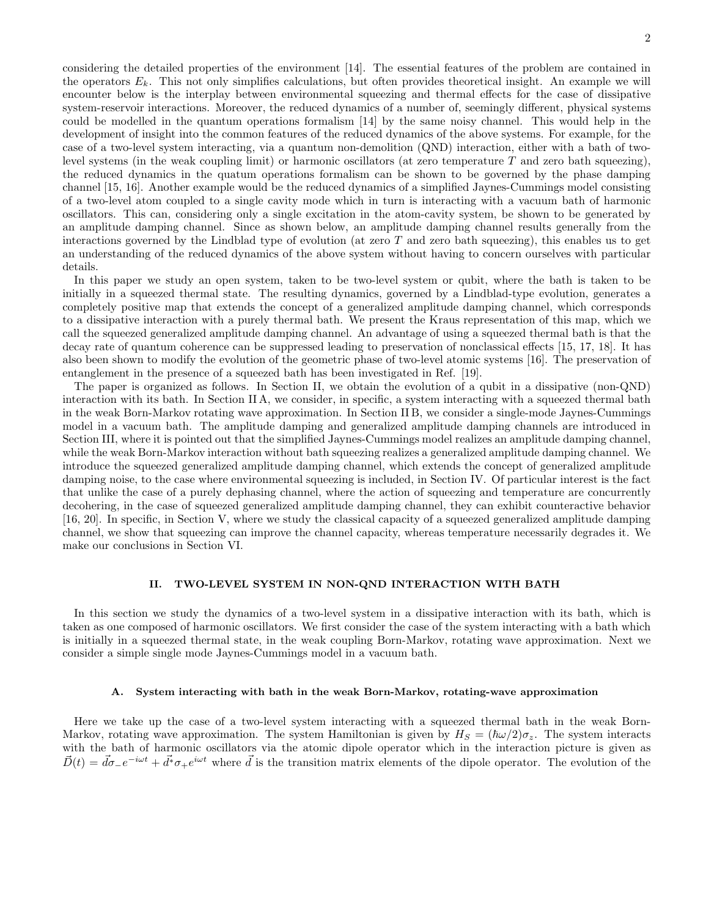considering the detailed properties of the environment [14]. The essential features of the problem are contained in the operators  $E_k$ . This not only simplifies calculations, but often provides theoretical insight. An example we will encounter below is the interplay between environmental squeezing and thermal effects for the case of dissipative system-reservoir interactions. Moreover, the reduced dynamics of a number of, seemingly different, physical systems could be modelled in the quantum operations formalism [14] by the same noisy channel. This would help in the development of insight into the common features of the reduced dynamics of the above systems. For example, for the case of a two-level system interacting, via a quantum non-demolition (QND) interaction, either with a bath of twolevel systems (in the weak coupling limit) or harmonic oscillators (at zero temperature  $T$  and zero bath squeezing), the reduced dynamics in the quatum operations formalism can be shown to be governed by the phase damping channel [15, 16]. Another example would be the reduced dynamics of a simplified Jaynes-Cummings model consisting of a two-level atom coupled to a single cavity mode which in turn is interacting with a vacuum bath of harmonic oscillators. This can, considering only a single excitation in the atom-cavity system, be shown to be generated by an amplitude damping channel. Since as shown below, an amplitude damping channel results generally from the interactions governed by the Lindblad type of evolution (at zero  $T$  and zero bath squeezing), this enables us to get an understanding of the reduced dynamics of the above system without having to concern ourselves with particular details.

In this paper we study an open system, taken to be two-level system or qubit, where the bath is taken to be initially in a squeezed thermal state. The resulting dynamics, governed by a Lindblad-type evolution, generates a completely positive map that extends the concept of a generalized amplitude damping channel, which corresponds to a dissipative interaction with a purely thermal bath. We present the Kraus representation of this map, which we call the squeezed generalized amplitude damping channel. An advantage of using a squeezed thermal bath is that the decay rate of quantum coherence can be suppressed leading to preservation of nonclassical effects [15, 17, 18]. It has also been shown to modify the evolution of the geometric phase of two-level atomic systems [16]. The preservation of entanglement in the presence of a squeezed bath has been investigated in Ref. [19].

The paper is organized as follows. In Section II, we obtain the evolution of a qubit in a dissipative (non-QND) interaction with its bath. In Section II A, we consider, in specific, a system interacting with a squeezed thermal bath in the weak Born-Markov rotating wave approximation. In Section II B, we consider a single-mode Jaynes-Cummings model in a vacuum bath. The amplitude damping and generalized amplitude damping channels are introduced in Section III, where it is pointed out that the simplified Jaynes-Cummings model realizes an amplitude damping channel, while the weak Born-Markov interaction without bath squeezing realizes a generalized amplitude damping channel. We introduce the squeezed generalized amplitude damping channel, which extends the concept of generalized amplitude damping noise, to the case where environmental squeezing is included, in Section IV. Of particular interest is the fact that unlike the case of a purely dephasing channel, where the action of squeezing and temperature are concurrently decohering, in the case of squeezed generalized amplitude damping channel, they can exhibit counteractive behavior [16, 20]. In specific, in Section V, where we study the classical capacity of a squeezed generalized amplitude damping channel, we show that squeezing can improve the channel capacity, whereas temperature necessarily degrades it. We make our conclusions in Section VI.

# II. TWO-LEVEL SYSTEM IN NON-QND INTERACTION WITH BATH

In this section we study the dynamics of a two-level system in a dissipative interaction with its bath, which is taken as one composed of harmonic oscillators. We first consider the case of the system interacting with a bath which is initially in a squeezed thermal state, in the weak coupling Born-Markov, rotating wave approximation. Next we consider a simple single mode Jaynes-Cummings model in a vacuum bath.

### A. System interacting with bath in the weak Born-Markov, rotating-wave approximation

Here we take up the case of a two-level system interacting with a squeezed thermal bath in the weak Born-Markov, rotating wave approximation. The system Hamiltonian is given by  $H_S = (\hbar \omega/2) \sigma_z$ . The system interacts with the bath of harmonic oscillators via the atomic dipole operator which in the interaction picture is given as  $\vec{D}(t) = \vec{d}\sigma_-e^{-i\omega t} + \vec{d}^*\sigma_+e^{i\omega t}$  where  $\vec{d}$  is the transition matrix elements of the dipole operator. The evolution of the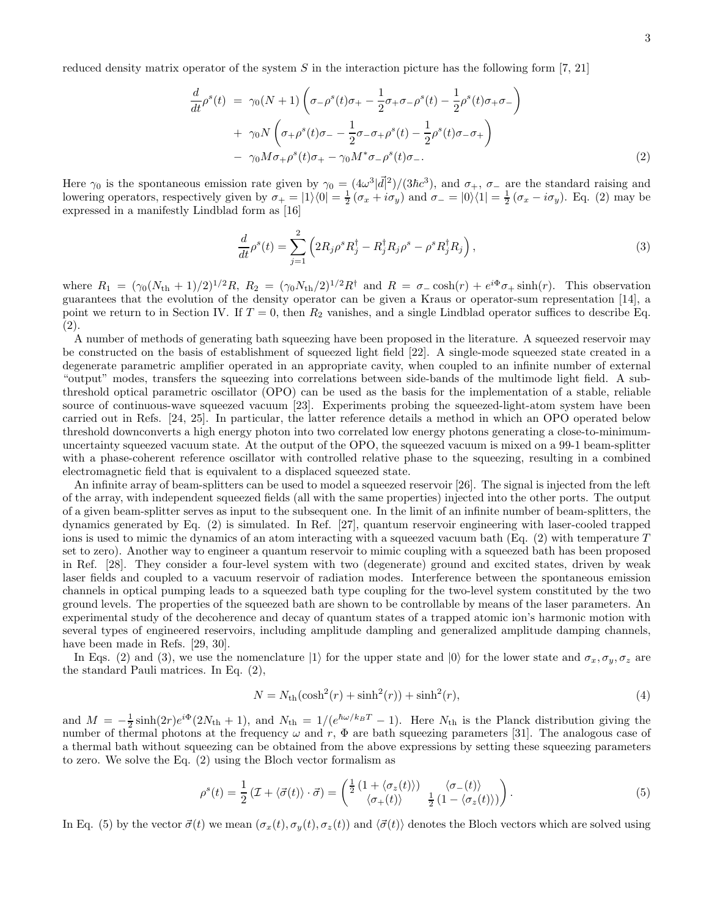3

reduced density matrix operator of the system  $S$  in the interaction picture has the following form [7, 21]

$$
\frac{d}{dt}\rho^{s}(t) = \gamma_{0}(N+1)\left(\sigma_{-}\rho^{s}(t)\sigma_{+} - \frac{1}{2}\sigma_{+}\sigma_{-}\rho^{s}(t) - \frac{1}{2}\rho^{s}(t)\sigma_{+}\sigma_{-}\right) \n+ \gamma_{0}N\left(\sigma_{+}\rho^{s}(t)\sigma_{-} - \frac{1}{2}\sigma_{-}\sigma_{+}\rho^{s}(t) - \frac{1}{2}\rho^{s}(t)\sigma_{-}\sigma_{+}\right) \n- \gamma_{0}M\sigma_{+}\rho^{s}(t)\sigma_{+} - \gamma_{0}M^{*}\sigma_{-}\rho^{s}(t)\sigma_{-}.
$$
\n(2)

Here  $\gamma_0$  is the spontaneous emission rate given by  $\gamma_0 = (4\omega^3|\vec{d}|^2)/(3\hbar c^3)$ , and  $\sigma_+$ ,  $\sigma_-$  are the standard raising and lowering operators, respectively given by  $\sigma_+ = |1\rangle\langle 0| = \frac{1}{2}(\sigma_x + i\sigma_y)$  and  $\sigma_- = |0\rangle\langle 1| = \frac{1}{2}(\sigma_x - i\sigma_y)$ . Eq. (2) may be expressed in a manifestly Lindblad form as [16]

$$
\frac{d}{dt}\rho^s(t) = \sum_{j=1}^2 \left( 2R_j \rho^s R_j^\dagger - R_j^\dagger R_j \rho^s - \rho^s R_j^\dagger R_j \right),\tag{3}
$$

where  $R_1 = (\gamma_0 (N_{\text{th}} + 1)/2)^{1/2} R$ ,  $R_2 = (\gamma_0 N_{\text{th}}/2)^{1/2} R^{\dagger}$  and  $R = \sigma$  cosh $(r) + e^{i\Phi} \sigma_+ \sinh(r)$ . This observation guarantees that the evolution of the density operator can be given a Kraus or operator-sum representation [14], a point we return to in Section IV. If  $T = 0$ , then  $R_2$  vanishes, and a single Lindblad operator suffices to describe Eq. (2).

A number of methods of generating bath squeezing have been proposed in the literature. A squeezed reservoir may be constructed on the basis of establishment of squeezed light field [22]. A single-mode squeezed state created in a degenerate parametric amplifier operated in an appropriate cavity, when coupled to an infinite number of external "output" modes, transfers the squeezing into correlations between side-bands of the multimode light field. A subthreshold optical parametric oscillator (OPO) can be used as the basis for the implementation of a stable, reliable source of continuous-wave squeezed vacuum [23]. Experiments probing the squeezed-light-atom system have been carried out in Refs. [24, 25]. In particular, the latter reference details a method in which an OPO operated below threshold downconverts a high energy photon into two correlated low energy photons generating a close-to-minimumuncertainty squeezed vacuum state. At the output of the OPO, the squeezed vacuum is mixed on a 99-1 beam-splitter with a phase-coherent reference oscillator with controlled relative phase to the squeezing, resulting in a combined electromagnetic field that is equivalent to a displaced squeezed state.

An infinite array of beam-splitters can be used to model a squeezed reservoir [26]. The signal is injected from the left of the array, with independent squeezed fields (all with the same properties) injected into the other ports. The output of a given beam-splitter serves as input to the subsequent one. In the limit of an infinite number of beam-splitters, the dynamics generated by Eq. (2) is simulated. In Ref. [27], quantum reservoir engineering with laser-cooled trapped ions is used to mimic the dynamics of an atom interacting with a squeezed vacuum bath (Eq.  $(2)$ ) with temperature T set to zero). Another way to engineer a quantum reservoir to mimic coupling with a squeezed bath has been proposed in Ref. [28]. They consider a four-level system with two (degenerate) ground and excited states, driven by weak laser fields and coupled to a vacuum reservoir of radiation modes. Interference between the spontaneous emission channels in optical pumping leads to a squeezed bath type coupling for the two-level system constituted by the two ground levels. The properties of the squeezed bath are shown to be controllable by means of the laser parameters. An experimental study of the decoherence and decay of quantum states of a trapped atomic ion's harmonic motion with several types of engineered reservoirs, including amplitude dampling and generalized amplitude damping channels, have been made in Refs. [29, 30].

In Eqs. (2) and (3), we use the nomenclature  $|1\rangle$  for the upper state and  $|0\rangle$  for the lower state and  $\sigma_x, \sigma_y, \sigma_z$  are the standard Pauli matrices. In Eq. (2),

$$
N = N_{\rm th}(\cosh^2(r) + \sinh^2(r)) + \sinh^2(r),\tag{4}
$$

and  $M = -\frac{1}{2} \sinh(2r) e^{i\Phi} (2N_{\text{th}} + 1)$ , and  $N_{\text{th}} = 1/(e^{\hbar \omega/k_B T} - 1)$ . Here  $N_{\text{th}}$  is the Planck distribution giving the number of thermal photons at the frequency  $\omega$  and r,  $\Phi$  are bath squeezing parameters [31]. The analogous case of a thermal bath without squeezing can be obtained from the above expressions by setting these squeezing parameters to zero. We solve the Eq. (2) using the Bloch vector formalism as

$$
\rho^{s}(t) = \frac{1}{2} \left( \mathcal{I} + \langle \vec{\sigma}(t) \rangle \cdot \vec{\sigma} \right) = \begin{pmatrix} \frac{1}{2} \left( 1 + \langle \sigma_{z}(t) \rangle \right) & \langle \sigma_{-}(t) \rangle \\ \langle \sigma_{+}(t) \rangle & \frac{1}{2} \left( 1 - \langle \sigma_{z}(t) \rangle \right) \end{pmatrix} . \tag{5}
$$

In Eq. (5) by the vector  $\vec{\sigma}(t)$  we mean  $(\sigma_x(t), \sigma_y(t), \sigma_z(t))$  and  $\langle \vec{\sigma}(t) \rangle$  denotes the Bloch vectors which are solved using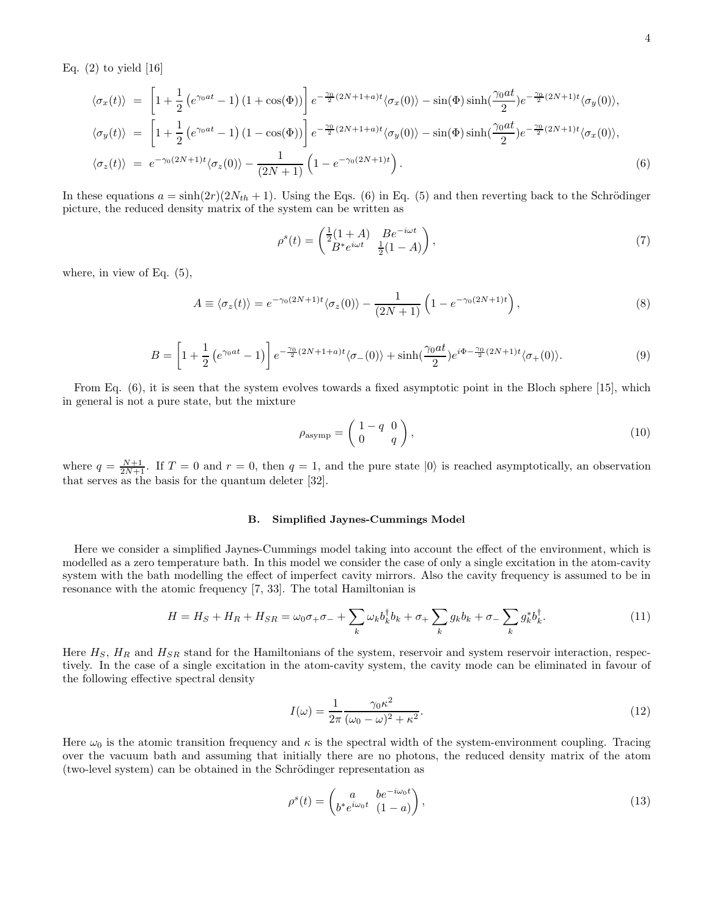Eq.  $(2)$  to yield  $[16]$ 

$$
\langle \sigma_x(t) \rangle = \left[ 1 + \frac{1}{2} \left( e^{\gamma_0 at} - 1 \right) (1 + \cos(\Phi)) \right] e^{-\frac{\gamma_0}{2} (2N + 1 + a)t} \langle \sigma_x(0) \rangle - \sin(\Phi) \sinh(\frac{\gamma_0 at}{2}) e^{-\frac{\gamma_0}{2} (2N + 1)t} \langle \sigma_y(0) \rangle,
$$
  
\n
$$
\langle \sigma_y(t) \rangle = \left[ 1 + \frac{1}{2} \left( e^{\gamma_0 at} - 1 \right) (1 - \cos(\Phi)) \right] e^{-\frac{\gamma_0}{2} (2N + 1 + a)t} \langle \sigma_y(0) \rangle - \sin(\Phi) \sinh(\frac{\gamma_0 at}{2}) e^{-\frac{\gamma_0}{2} (2N + 1)t} \langle \sigma_x(0) \rangle,
$$
  
\n
$$
\langle \sigma_z(t) \rangle = e^{-\gamma_0 (2N + 1)t} \langle \sigma_z(0) \rangle - \frac{1}{(2N + 1)} \left( 1 - e^{-\gamma_0 (2N + 1)t} \right).
$$
\n(6)

In these equations  $a = \sinh(2r)(2N_{th} + 1)$ . Using the Eqs. (6) in Eq. (5) and then reverting back to the Schrödinger picture, the reduced density matrix of the system can be written as

$$
\rho^{s}(t) = \begin{pmatrix} \frac{1}{2}(1+A) & Be^{-i\omega t} \\ B^*e^{i\omega t} & \frac{1}{2}(1-A) \end{pmatrix},
$$
\n(7)

where, in view of Eq. (5),

$$
A \equiv \langle \sigma_z(t) \rangle = e^{-\gamma_0(2N+1)t} \langle \sigma_z(0) \rangle - \frac{1}{(2N+1)} \left( 1 - e^{-\gamma_0(2N+1)t} \right), \tag{8}
$$

$$
B = \left[1 + \frac{1}{2} \left(e^{\gamma_0 at} - 1\right)\right] e^{-\frac{\gamma_0}{2} (2N + 1 + a)t} \langle \sigma_-(0) \rangle + \sinh\left(\frac{\gamma_0 at}{2}\right) e^{i\Phi - \frac{\gamma_0}{2} (2N + 1)t} \langle \sigma_+(0) \rangle. \tag{9}
$$

From Eq. (6), it is seen that the system evolves towards a fixed asymptotic point in the Bloch sphere [15], which in general is not a pure state, but the mixture

$$
\rho_{\text{asymp}} = \begin{pmatrix} 1 - q & 0 \\ 0 & q \end{pmatrix},\tag{10}
$$

where  $q = \frac{N+1}{2N+1}$ . If  $T = 0$  and  $r = 0$ , then  $q = 1$ , and the pure state  $|0\rangle$  is reached asymptotically, an observation that serves as the basis for the quantum deleter [32].

# B. Simplified Jaynes-Cummings Model

Here we consider a simplified Jaynes-Cummings model taking into account the effect of the environment, which is modelled as a zero temperature bath. In this model we consider the case of only a single excitation in the atom-cavity system with the bath modelling the effect of imperfect cavity mirrors. Also the cavity frequency is assumed to be in resonance with the atomic frequency [7, 33]. The total Hamiltonian is

$$
H = HS + HR + HSR = \omega_0 \sigma_+ \sigma_- + \sum_k \omega_k b_k^{\dagger} b_k + \sigma_+ \sum_k g_k b_k + \sigma_- \sum_k g_k^* b_k^{\dagger}.
$$
 (11)

Here  $H_S$ ,  $H_R$  and  $H_{SR}$  stand for the Hamiltonians of the system, reservoir and system reservoir interaction, respectively. In the case of a single excitation in the atom-cavity system, the cavity mode can be eliminated in favour of the following effective spectral density

$$
I(\omega) = \frac{1}{2\pi} \frac{\gamma_0 \kappa^2}{(\omega_0 - \omega)^2 + \kappa^2}.
$$
\n(12)

Here  $\omega_0$  is the atomic transition frequency and  $\kappa$  is the spectral width of the system-environment coupling. Tracing over the vacuum bath and assuming that initially there are no photons, the reduced density matrix of the atom (two-level system) can be obtained in the Schrödinger representation as

$$
\rho^s(t) = \begin{pmatrix} a & be^{-i\omega_0 t} \\ b^* e^{i\omega_0 t} & (1-a) \end{pmatrix},\tag{13}
$$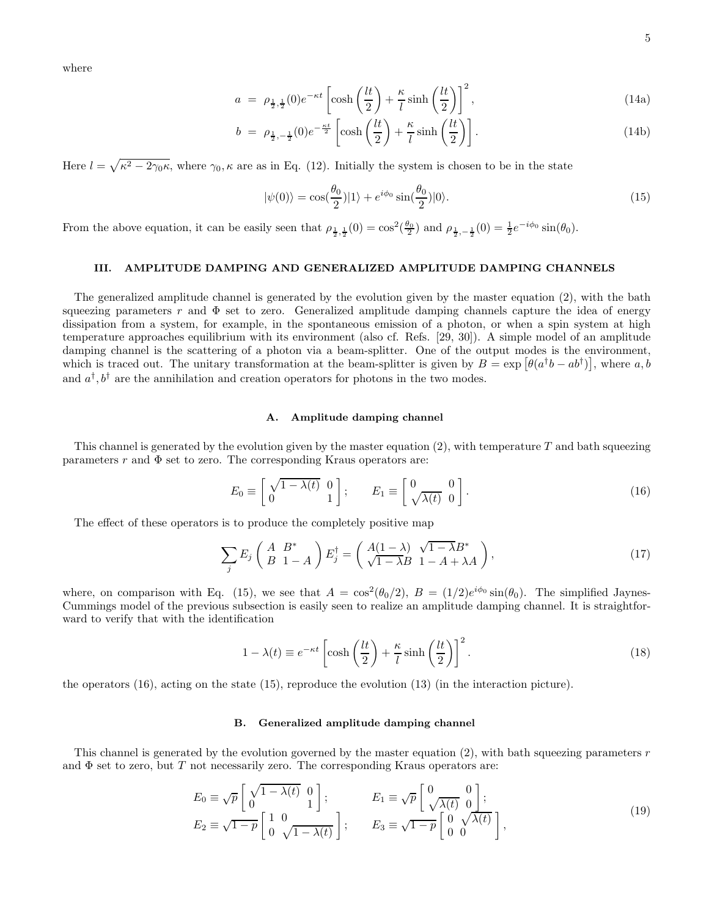where

$$
a = \rho_{\frac{1}{2},\frac{1}{2}}(0)e^{-\kappa t} \left[ \cosh\left(\frac{lt}{2}\right) + \frac{\kappa}{l}\sinh\left(\frac{lt}{2}\right) \right]^2, \tag{14a}
$$

$$
b = \rho_{\frac{1}{2}, -\frac{1}{2}}(0)e^{-\frac{\kappa t}{2}} \left[ \cosh\left(\frac{lt}{2}\right) + \frac{\kappa}{l}\sinh\left(\frac{lt}{2}\right) \right]. \tag{14b}
$$

Here  $l = \sqrt{\kappa^2 - 2\gamma_0 \kappa}$ , where  $\gamma_0$ ,  $\kappa$  are as in Eq. (12). Initially the system is chosen to be in the state

$$
|\psi(0)\rangle = \cos(\frac{\theta_0}{2})|1\rangle + e^{i\phi_0}\sin(\frac{\theta_0}{2})|0\rangle.
$$
 (15)

From the above equation, it can be easily seen that  $\rho_{\frac{1}{2},\frac{1}{2}}(0) = \cos^2(\frac{\theta_0}{2})$  and  $\rho_{\frac{1}{2},-\frac{1}{2}}(0) = \frac{1}{2}e^{-i\phi_0}\sin(\theta_0)$ .

# III. AMPLITUDE DAMPING AND GENERALIZED AMPLITUDE DAMPING CHANNELS

The generalized amplitude channel is generated by the evolution given by the master equation (2), with the bath squeezing parameters r and  $\Phi$  set to zero. Generalized amplitude damping channels capture the idea of energy dissipation from a system, for example, in the spontaneous emission of a photon, or when a spin system at high temperature approaches equilibrium with its environment (also cf. Refs. [29, 30]). A simple model of an amplitude damping channel is the scattering of a photon via a beam-splitter. One of the output modes is the environment, which is traced out. The unitary transformation at the beam-splitter is given by  $B = \exp[\theta(a^{\dagger}b - ab^{\dagger})]$ , where a, b and  $a^{\dagger}, b^{\dagger}$  are the annihilation and creation operators for photons in the two modes.

#### A. Amplitude damping channel

This channel is generated by the evolution given by the master equation  $(2)$ , with temperature T and bath squeezing parameters r and  $\Phi$  set to zero. The corresponding Kraus operators are:

$$
E_0 \equiv \begin{bmatrix} \sqrt{1 - \lambda(t)} & 0 \\ 0 & 1 \end{bmatrix}; \qquad E_1 \equiv \begin{bmatrix} 0 & 0 \\ \sqrt{\lambda(t)} & 0 \end{bmatrix}.
$$
 (16)

The effect of these operators is to produce the completely positive map

$$
\sum_{j} E_j \begin{pmatrix} A & B^* \\ B & 1 - A \end{pmatrix} E_j^{\dagger} = \begin{pmatrix} A(1 - \lambda) & \sqrt{1 - \lambda} B^* \\ \sqrt{1 - \lambda} B & 1 - A + \lambda A \end{pmatrix},
$$
\n(17)

where, on comparison with Eq. (15), we see that  $A = \cos^2(\theta_0/2)$ ,  $B = (1/2)e^{i\phi_0} \sin(\theta_0)$ . The simplified Jaynes-Cummings model of the previous subsection is easily seen to realize an amplitude damping channel. It is straightforward to verify that with the identification

$$
1 - \lambda(t) \equiv e^{-\kappa t} \left[ \cosh\left(\frac{lt}{2}\right) + \frac{\kappa}{l} \sinh\left(\frac{lt}{2}\right) \right]^2.
$$
 (18)

the operators (16), acting on the state (15), reproduce the evolution (13) (in the interaction picture).

#### B. Generalized amplitude damping channel

This channel is generated by the evolution governed by the master equation  $(2)$ , with bath squeezing parameters r and  $\Phi$  set to zero, but T not necessarily zero. The corresponding Kraus operators are:

$$
E_0 \equiv \sqrt{p} \begin{bmatrix} \sqrt{1 - \lambda(t)} & 0 \\ 0 & 1 \end{bmatrix}; \qquad E_1 \equiv \sqrt{p} \begin{bmatrix} 0 & 0 \\ \sqrt{\lambda(t)} & 0 \end{bmatrix};
$$
  
\n
$$
E_2 \equiv \sqrt{1 - p} \begin{bmatrix} 1 & 0 \\ 0 & \sqrt{1 - \lambda(t)} \end{bmatrix}; \qquad E_3 \equiv \sqrt{1 - p} \begin{bmatrix} 0 & \sqrt{\lambda(t)} \\ 0 & 0 \end{bmatrix},
$$
\n(19)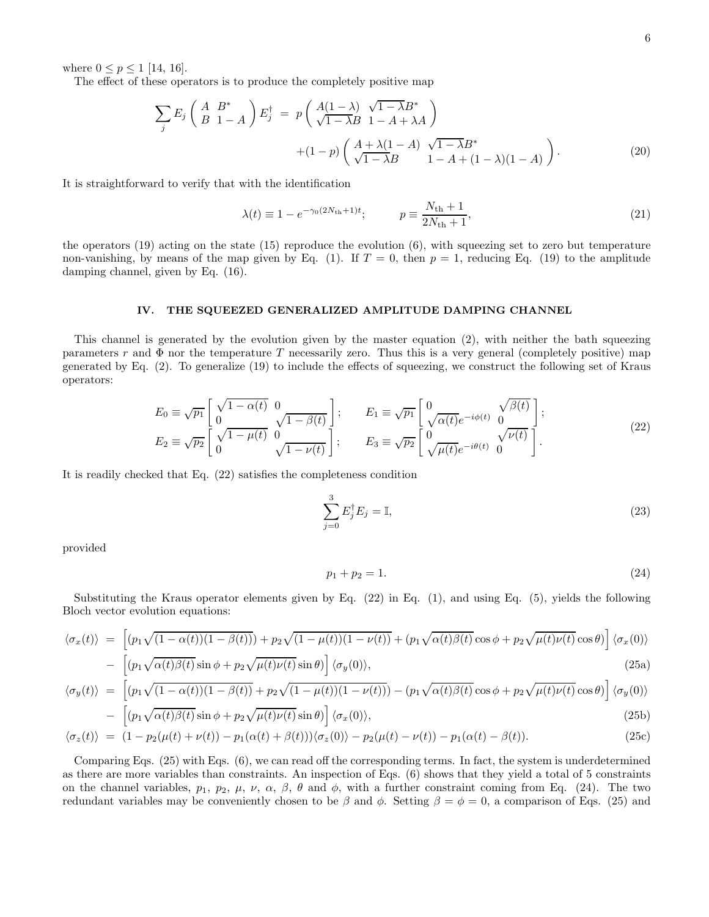where  $0 \le p \le 1$  [14, 16].

The effect of these operators is to produce the completely positive map

$$
\sum_{j} E_{j} \begin{pmatrix} A & B^{*} \\ B & 1 - A \end{pmatrix} E_{j}^{\dagger} = p \begin{pmatrix} A(1 - \lambda) & \sqrt{1 - \lambda} B^{*} \\ \sqrt{1 - \lambda} B & 1 - A + \lambda A \end{pmatrix} + (1 - p) \begin{pmatrix} A + \lambda(1 - A) & \sqrt{1 - \lambda} B^{*} \\ \sqrt{1 - \lambda} B & 1 - A + (1 - \lambda)(1 - A) \end{pmatrix} . \tag{20}
$$

It is straightforward to verify that with the identification

$$
\lambda(t) \equiv 1 - e^{-\gamma_0 (2N_{\rm th} + 1)t}; \qquad p \equiv \frac{N_{\rm th} + 1}{2N_{\rm th} + 1}, \tag{21}
$$

the operators (19) acting on the state (15) reproduce the evolution (6), with squeezing set to zero but temperature non-vanishing, by means of the map given by Eq. (1). If  $T = 0$ , then  $p = 1$ , reducing Eq. (19) to the amplitude damping channel, given by Eq. (16).

### IV. THE SQUEEZED GENERALIZED AMPLITUDE DAMPING CHANNEL

This channel is generated by the evolution given by the master equation (2), with neither the bath squeezing parameters r and  $\Phi$  nor the temperature T necessarily zero. Thus this is a very general (completely positive) map generated by Eq. (2). To generalize (19) to include the effects of squeezing, we construct the following set of Kraus operators:

$$
E_0 \equiv \sqrt{p_1} \begin{bmatrix} \sqrt{1 - \alpha(t)} & 0 \\ 0 & \sqrt{1 - \beta(t)} \end{bmatrix}; \qquad E_1 \equiv \sqrt{p_1} \begin{bmatrix} 0 & \sqrt{\beta(t)} \\ \sqrt{\alpha(t)} e^{-i\phi(t)} & 0 \end{bmatrix};
$$
  
\n
$$
E_2 \equiv \sqrt{p_2} \begin{bmatrix} \sqrt{1 - \mu(t)} & 0 \\ 0 & \sqrt{1 - \nu(t)} \end{bmatrix}; \qquad E_3 \equiv \sqrt{p_2} \begin{bmatrix} 0 & \sqrt{\nu(t)} \\ \sqrt{\mu(t)} e^{-i\theta(t)} & 0 \end{bmatrix}.
$$
 (22)

It is readily checked that Eq. (22) satisfies the completeness condition

$$
\sum_{j=0}^{3} E_j^{\dagger} E_j = \mathbb{I},\tag{23}
$$

provided

$$
p_1 + p_2 = 1.\t\t(24)
$$

Substituting the Kraus operator elements given by Eq. (22) in Eq. (1), and using Eq. (5), yields the following Bloch vector evolution equations:

$$
\langle \sigma_x(t) \rangle = \left[ (p_1 \sqrt{(1 - \alpha(t))(1 - \beta(t))}) + p_2 \sqrt{(1 - \mu(t))(1 - \nu(t))} + (p_1 \sqrt{\alpha(t)\beta(t)} \cos \phi + p_2 \sqrt{\mu(t)\nu(t)} \cos \theta) \right] \langle \sigma_x(0) \rangle
$$

$$
- \left[ (p_1 \sqrt{\alpha(t)\beta(t)} \sin \phi + p_2 \sqrt{\mu(t)\nu(t)} \sin \theta) \right] \langle \sigma_y(0) \rangle, \tag{25a}
$$

$$
\langle \sigma_y(t) \rangle = \left[ (p_1 \sqrt{(1 - \alpha(t))(1 - \beta(t))} + p_2 \sqrt{(1 - \mu(t))(1 - \nu(t))}) - (p_1 \sqrt{\alpha(t)\beta(t)} \cos \phi + p_2 \sqrt{\mu(t)\nu(t)} \cos \theta) \right] \langle \sigma_y(0) \rangle
$$

$$
- \left[ (p_1 \sqrt{\alpha(t)\beta(t)} \sin \phi + p_2 \sqrt{\mu(t)\nu(t)} \sin \theta) \right] \langle \sigma_x(0) \rangle, \tag{25b}
$$

$$
\langle \sigma_z(t) \rangle = (1 - p_2(\mu(t) + \nu(t)) - p_1(\alpha(t) + \beta(t))) \langle \sigma_z(0) \rangle - p_2(\mu(t) - \nu(t)) - p_1(\alpha(t) - \beta(t)). \tag{25c}
$$

Comparing Eqs. (25) with Eqs. (6), we can read off the corresponding terms. In fact, the system is underdetermined as there are more variables than constraints. An inspection of Eqs. (6) shows that they yield a total of 5 constraints on the channel variables,  $p_1$ ,  $p_2$ ,  $\mu$ ,  $\nu$ ,  $\alpha$ ,  $\beta$ ,  $\theta$  and  $\phi$ , with a further constraint coming from Eq. (24). The two redundant variables may be conveniently chosen to be  $\beta$  and  $\phi$ . Setting  $\beta = \phi = 0$ , a comparison of Eqs. (25) and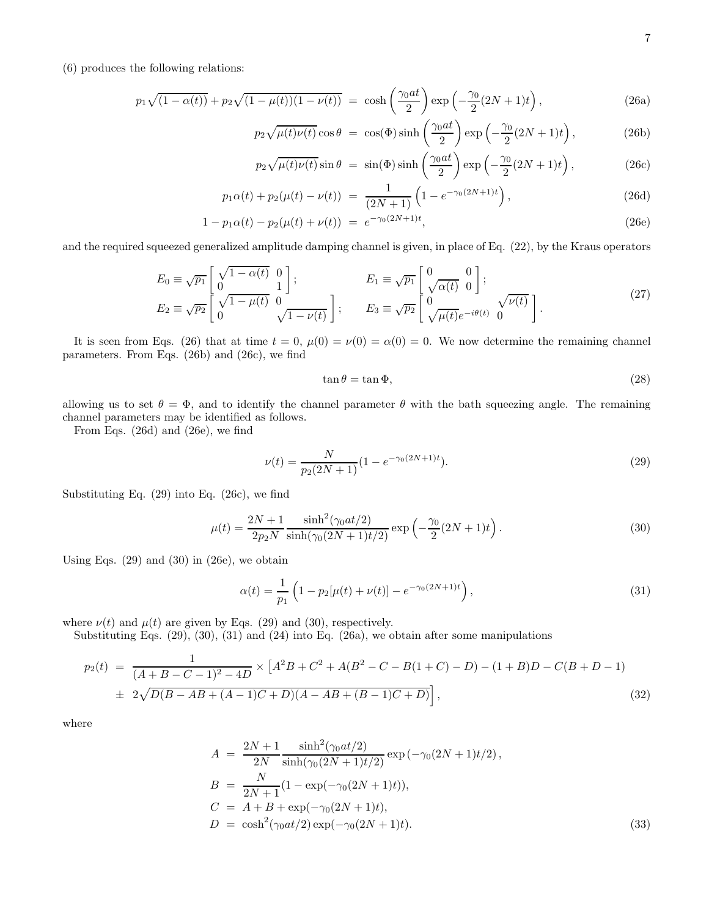(6) produces the following relations:

$$
p_1 \sqrt{(1 - \alpha(t))} + p_2 \sqrt{(1 - \mu(t))(1 - \nu(t))} = \cosh\left(\frac{\gamma_0 a t}{2}\right) \exp\left(-\frac{\gamma_0}{2}(2N + 1)t\right),\tag{26a}
$$

$$
p_2\sqrt{\mu(t)\nu(t)}\cos\theta = \cos(\Phi)\sinh\left(\frac{\gamma_0at}{2}\right)\exp\left(-\frac{\gamma_0}{2}(2N+1)t\right),\tag{26b}
$$

$$
p_2\sqrt{\mu(t)\nu(t)}\sin\theta = \sin(\Phi)\sinh\left(\frac{\gamma_0at}{2}\right)\exp\left(-\frac{\gamma_0}{2}(2N+1)t\right),\tag{26c}
$$

$$
p_1\alpha(t) + p_2(\mu(t) - \nu(t)) = \frac{1}{(2N+1)} \left( 1 - e^{-\gamma_0(2N+1)t} \right),
$$
\n(26d)

$$
1 - p_1 \alpha(t) - p_2(\mu(t) + \nu(t)) = e^{-\gamma_0 (2N+1)t}, \tag{26e}
$$

and the required squeezed generalized amplitude damping channel is given, in place of Eq. (22), by the Kraus operators

$$
E_0 \equiv \sqrt{p_1} \begin{bmatrix} \sqrt{1 - \alpha(t)} & 0 \\ 0 & 1 \end{bmatrix};
$$
  
\n
$$
E_1 \equiv \sqrt{p_1} \begin{bmatrix} 0 & 0 \\ \sqrt{\alpha(t)} & 0 \end{bmatrix};
$$
  
\n
$$
E_2 \equiv \sqrt{p_2} \begin{bmatrix} \sqrt{1 - \mu(t)} & 0 \\ 0 & \sqrt{1 - \nu(t)} \end{bmatrix};
$$
  
\n
$$
E_3 \equiv \sqrt{p_2} \begin{bmatrix} 0 & 0 \\ 0 & \sqrt{\mu(t)}e^{-i\theta(t)} & 0 \end{bmatrix}.
$$
\n(27)

It is seen from Eqs. (26) that at time  $t = 0$ ,  $\mu(0) = \nu(0) = \alpha(0) = 0$ . We now determine the remaining channel parameters. From Eqs. (26b) and (26c), we find

$$
\tan \theta = \tan \Phi,\tag{28}
$$

allowing us to set  $\theta = \Phi$ , and to identify the channel parameter  $\theta$  with the bath squeezing angle. The remaining channel parameters may be identified as follows.

From Eqs. (26d) and (26e), we find

$$
\nu(t) = \frac{N}{p_2(2N+1)}(1 - e^{-\gamma_0(2N+1)t}).
$$
\n(29)

Substituting Eq. (29) into Eq. (26c), we find

$$
\mu(t) = \frac{2N+1}{2p_2N} \frac{\sinh^2(\gamma_0 at/2)}{\sinh(\gamma_0 (2N+1)t/2)} \exp\left(-\frac{\gamma_0}{2}(2N+1)t\right).
$$
\n(30)

Using Eqs.  $(29)$  and  $(30)$  in  $(26e)$ , we obtain

$$
\alpha(t) = \frac{1}{p_1} \left( 1 - p_2[\mu(t) + \nu(t)] - e^{-\gamma_0(2N+1)t} \right),\tag{31}
$$

where  $\nu(t)$  and  $\mu(t)$  are given by Eqs. (29) and (30), respectively.

Substituting Eqs. (29), (30), (31) and (24) into Eq. (26a), we obtain after some manipulations

$$
p_2(t) = \frac{1}{(A+B-C-1)^2 - 4D} \times [A^2B + C^2 + A(B^2 - C - B(1+C) - D) - (1+B)D - C(B+D-1)
$$
  

$$
\pm 2\sqrt{D(B-AB+(A-1)C+D)(A-AB+(B-1)C+D)}],
$$
(32)

where

$$
A = \frac{2N+1}{2N} \frac{\sinh^2(\gamma_0 at/2)}{\sinh(\gamma_0 (2N+1)t/2)} \exp(-\gamma_0 (2N+1)t/2),
$$
  
\n
$$
B = \frac{N}{2N+1} (1 - \exp(-\gamma_0 (2N+1)t)),
$$
  
\n
$$
C = A + B + \exp(-\gamma_0 (2N+1)t),
$$
  
\n
$$
D = \cosh^2(\gamma_0 at/2) \exp(-\gamma_0 (2N+1)t).
$$
\n(33)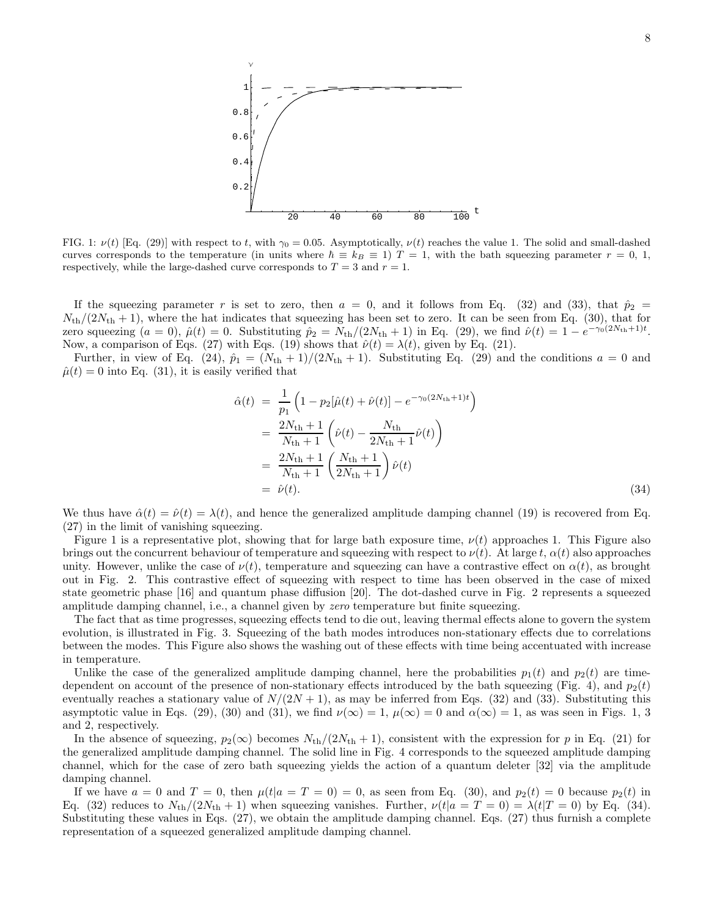

FIG. 1:  $\nu(t)$  [Eq. (29)] with respect to t, with  $\gamma_0 = 0.05$ . Asymptotically,  $\nu(t)$  reaches the value 1. The solid and small-dashed curves corresponds to the temperature (in units where  $h \equiv k_B \equiv 1$ )  $T = 1$ , with the bath squeezing parameter  $r = 0, 1$ , respectively, while the large-dashed curve corresponds to  $T = 3$  and  $r = 1$ .

If the squeezing parameter r is set to zero, then  $a = 0$ , and it follows from Eq. (32) and (33), that  $\hat{p}_2$  =  $N_{\text{th}}/(2N_{\text{th}}+1)$ , where the hat indicates that squeezing has been set to zero. It can be seen from Eq. (30), that for zero squeezing  $(a = 0)$ ,  $\hat{\mu}(t) = 0$ . Substituting  $\hat{p}_2 = N_{\text{th}}/(2N_{\text{th}} + 1)$  in Eq. (29), we find  $\hat{\nu}(t) = 1 - e^{-\gamma_0(2N_{\text{th}} + 1)t}$ . Now, a comparison of Eqs. (27) with Eqs. (19) shows that  $\hat{\nu}(t) = \lambda(t)$ , given by Eq. (21).

Further, in view of Eq. (24),  $\hat{p}_1 = (N_{\text{th}} + 1)/(2N_{\text{th}} + 1)$ . Substituting Eq. (29) and the conditions  $a = 0$  and  $\hat{\mu}(t) = 0$  into Eq. (31), it is easily verified that

$$
\hat{\alpha}(t) = \frac{1}{p_1} \left( 1 - p_2[\hat{\mu}(t) + \hat{\nu}(t)] - e^{-\gamma_0(2N_{\text{th}} + 1)t} \right)
$$
  
\n
$$
= \frac{2N_{\text{th}} + 1}{N_{\text{th}} + 1} \left( \hat{\nu}(t) - \frac{N_{\text{th}}}{2N_{\text{th}} + 1} \hat{\nu}(t) \right)
$$
  
\n
$$
= \frac{2N_{\text{th}} + 1}{N_{\text{th}} + 1} \left( \frac{N_{\text{th}} + 1}{2N_{\text{th}} + 1} \right) \hat{\nu}(t)
$$
  
\n
$$
= \hat{\nu}(t).
$$
 (34)

We thus have  $\hat{\alpha}(t) = \hat{\nu}(t) = \lambda(t)$ , and hence the generalized amplitude damping channel (19) is recovered from Eq. (27) in the limit of vanishing squeezing.

Figure 1 is a representative plot, showing that for large bath exposure time,  $\nu(t)$  approaches 1. This Figure also brings out the concurrent behaviour of temperature and squeezing with respect to  $\nu(t)$ . At large t,  $\alpha(t)$  also approaches unity. However, unlike the case of  $\nu(t)$ , temperature and squeezing can have a contrastive effect on  $\alpha(t)$ , as brought out in Fig. 2. This contrastive effect of squeezing with respect to time has been observed in the case of mixed state geometric phase [16] and quantum phase diffusion [20]. The dot-dashed curve in Fig. 2 represents a squeezed amplitude damping channel, i.e., a channel given by zero temperature but finite squeezing.

The fact that as time progresses, squeezing effects tend to die out, leaving thermal effects alone to govern the system evolution, is illustrated in Fig. 3. Squeezing of the bath modes introduces non-stationary effects due to correlations between the modes. This Figure also shows the washing out of these effects with time being accentuated with increase in temperature.

Unlike the case of the generalized amplitude damping channel, here the probabilities  $p_1(t)$  and  $p_2(t)$  are timedependent on account of the presence of non-stationary effects introduced by the bath squeezing (Fig. 4), and  $p_2(t)$ eventually reaches a stationary value of  $N/(2N+1)$ , as may be inferred from Eqs. (32) and (33). Substituting this asymptotic value in Eqs. (29), (30) and (31), we find  $\nu(\infty) = 1$ ,  $\mu(\infty) = 0$  and  $\alpha(\infty) = 1$ , as was seen in Figs. 1, 3 and 2, respectively.

In the absence of squeezing,  $p_2(\infty)$  becomes  $N_{\text{th}}/(2N_{\text{th}}+1)$ , consistent with the expression for p in Eq. (21) for the generalized amplitude damping channel. The solid line in Fig. 4 corresponds to the squeezed amplitude damping channel, which for the case of zero bath squeezing yields the action of a quantum deleter [32] via the amplitude damping channel.

If we have  $a = 0$  and  $T = 0$ , then  $\mu(t|a = T = 0) = 0$ , as seen from Eq. (30), and  $p_2(t) = 0$  because  $p_2(t)$  in Eq. (32) reduces to  $N_{\text{th}}/(2N_{\text{th}}+1)$  when squeezing vanishes. Further,  $\nu(t|a = T = 0) = \lambda(t|T = 0)$  by Eq. (34). Substituting these values in Eqs. (27), we obtain the amplitude damping channel. Eqs. (27) thus furnish a complete representation of a squeezed generalized amplitude damping channel.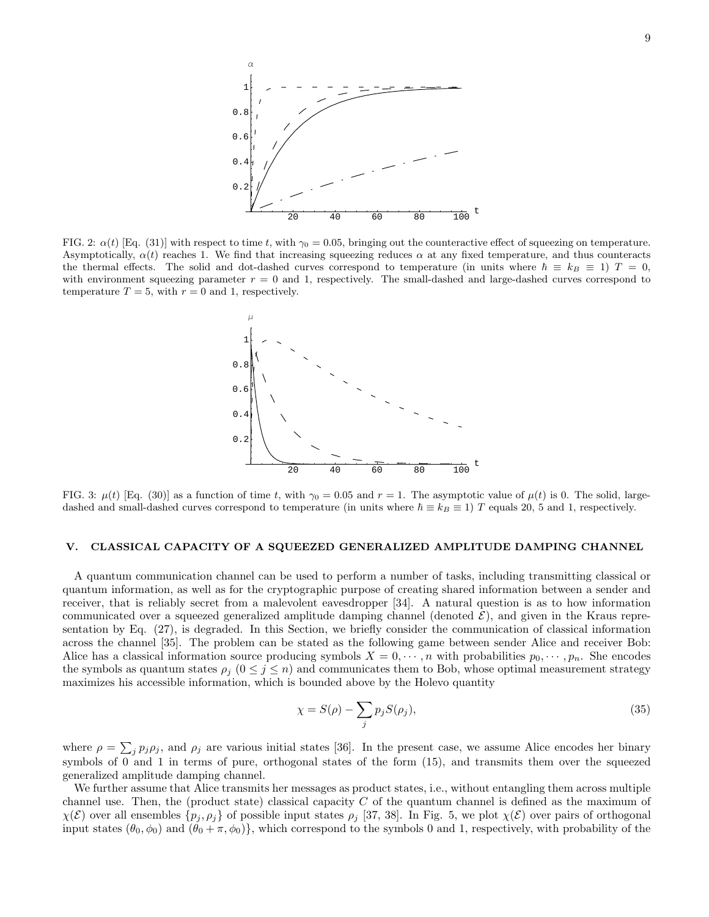

FIG. 2:  $\alpha(t)$  [Eq. (31)] with respect to time t, with  $\gamma_0 = 0.05$ , bringing out the counteractive effect of squeezing on temperature. Asymptotically,  $\alpha(t)$  reaches 1. We find that increasing squeezing reduces  $\alpha$  at any fixed temperature, and thus counteracts the thermal effects. The solid and dot-dashed curves correspond to temperature (in units where  $\hbar \equiv k_B \equiv 1$ )  $T = 0$ , with environment squeezing parameter  $r = 0$  and 1, respectively. The small-dashed and large-dashed curves correspond to temperature  $T = 5$ , with  $r = 0$  and 1, respectively.



FIG. 3:  $\mu(t)$  [Eq. (30)] as a function of time t, with  $\gamma_0 = 0.05$  and  $r = 1$ . The asymptotic value of  $\mu(t)$  is 0. The solid, largedashed and small-dashed curves correspond to temperature (in units where  $\hbar \equiv k_B \equiv 1$ ) T equals 20, 5 and 1, respectively.

### V. CLASSICAL CAPACITY OF A SQUEEZED GENERALIZED AMPLITUDE DAMPING CHANNEL

A quantum communication channel can be used to perform a number of tasks, including transmitting classical or quantum information, as well as for the cryptographic purpose of creating shared information between a sender and receiver, that is reliably secret from a malevolent eavesdropper [34]. A natural question is as to how information communicated over a squeezed generalized amplitude damping channel (denoted  $\mathcal{E}$ ), and given in the Kraus representation by Eq. (27), is degraded. In this Section, we briefly consider the communication of classical information across the channel [35]. The problem can be stated as the following game between sender Alice and receiver Bob: Alice has a classical information source producing symbols  $X = 0, \dots, n$  with probabilities  $p_0, \dots, p_n$ . She encodes the symbols as quantum states  $\rho_i$  ( $0 \leq j \leq n$ ) and communicates them to Bob, whose optimal measurement strategy maximizes his accessible information, which is bounded above by the Holevo quantity

$$
\chi = S(\rho) - \sum_{j} p_j S(\rho_j),\tag{35}
$$

where  $\rho = \sum_j p_j \rho_j$ , and  $\rho_j$  are various initial states [36]. In the present case, we assume Alice encodes her binary symbols of 0 and 1 in terms of pure, orthogonal states of the form (15), and transmits them over the squeezed generalized amplitude damping channel.

We further assume that Alice transmits her messages as product states, i.e., without entangling them across multiple channel use. Then, the (product state) classical capacity C of the quantum channel is defined as the maximum of  $\chi(\mathcal{E})$  over all ensembles  $\{p_j, \rho_j\}$  of possible input states  $\rho_j$  [37, 38]. In Fig. 5, we plot  $\chi(\mathcal{E})$  over pairs of orthogonal input states  $(\theta_0, \phi_0)$  and  $(\theta_0 + \pi, \phi_0)$ , which correspond to the symbols 0 and 1, respectively, with probability of the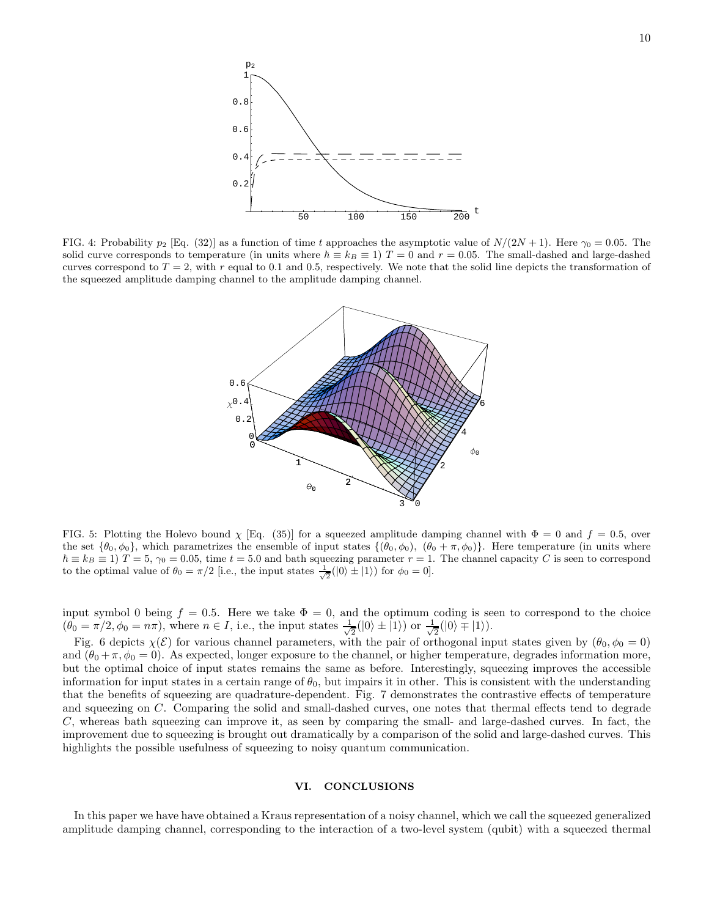

FIG. 4: Probability  $p_2$  [Eq. (32)] as a function of time t approaches the asymptotic value of  $N/(2N+1)$ . Here  $\gamma_0 = 0.05$ . The solid curve corresponds to temperature (in units where  $\hbar \equiv k_B \equiv 1$ )  $T = 0$  and  $r = 0.05$ . The small-dashed and large-dashed curves correspond to  $T = 2$ , with r equal to 0.1 and 0.5, respectively. We note that the solid line depicts the transformation of the squeezed amplitude damping channel to the amplitude damping channel.



FIG. 5: Plotting the Holevo bound  $\chi$  [Eq. (35)] for a squeezed amplitude damping channel with  $\Phi = 0$  and  $f = 0.5$ , over the set  $\{\theta_0, \phi_0\}$ , which parametrizes the ensemble of input states  $\{(\theta_0, \phi_0), (\theta_0 + \pi, \phi_0)\}$ . Here temperature (in units where  $\hbar \equiv k_B \equiv 1$   $T = 5$ ,  $\gamma_0 = 0.05$ , time  $t = 5.0$  and bath squeezing parameter  $r = 1$ . The channel capacity C is seen to correspond to the optimal value of  $\theta_0 = \pi/2$  [i.e., the input states  $\frac{1}{\sqrt{2}}(|0\rangle \pm |1\rangle)$  for  $\phi_0 = 0$ ].

input symbol 0 being  $f = 0.5$ . Here we take  $\Phi = 0$ , and the optimum coding is seen to correspond to the choice  $(\theta_0 = \pi/2, \phi_0 = n\pi)$ , where  $n \in I$ , i.e., the input states  $\frac{1}{\sqrt{2}}$  $\frac{1}{2}(|0\rangle \pm |1\rangle)$  or  $\frac{1}{\sqrt{2}}$  $\frac{1}{2}(|0\rangle \mp |1\rangle).$ 

Fig. 6 depicts  $\chi(\mathcal{E})$  for various channel parameters, with the pair of orthogonal input states given by  $(\theta_0, \phi_0 = 0)$ and  $(\theta_0 + \pi, \phi_0 = 0)$ . As expected, longer exposure to the channel, or higher temperature, degrades information more, but the optimal choice of input states remains the same as before. Interestingly, squeezing improves the accessible information for input states in a certain range of  $\theta_0$ , but impairs it in other. This is consistent with the understanding that the benefits of squeezing are quadrature-dependent. Fig. 7 demonstrates the contrastive effects of temperature and squeezing on C. Comparing the solid and small-dashed curves, one notes that thermal effects tend to degrade C, whereas bath squeezing can improve it, as seen by comparing the small- and large-dashed curves. In fact, the improvement due to squeezing is brought out dramatically by a comparison of the solid and large-dashed curves. This highlights the possible usefulness of squeezing to noisy quantum communication.

# VI. CONCLUSIONS

In this paper we have have obtained a Kraus representation of a noisy channel, which we call the squeezed generalized amplitude damping channel, corresponding to the interaction of a two-level system (qubit) with a squeezed thermal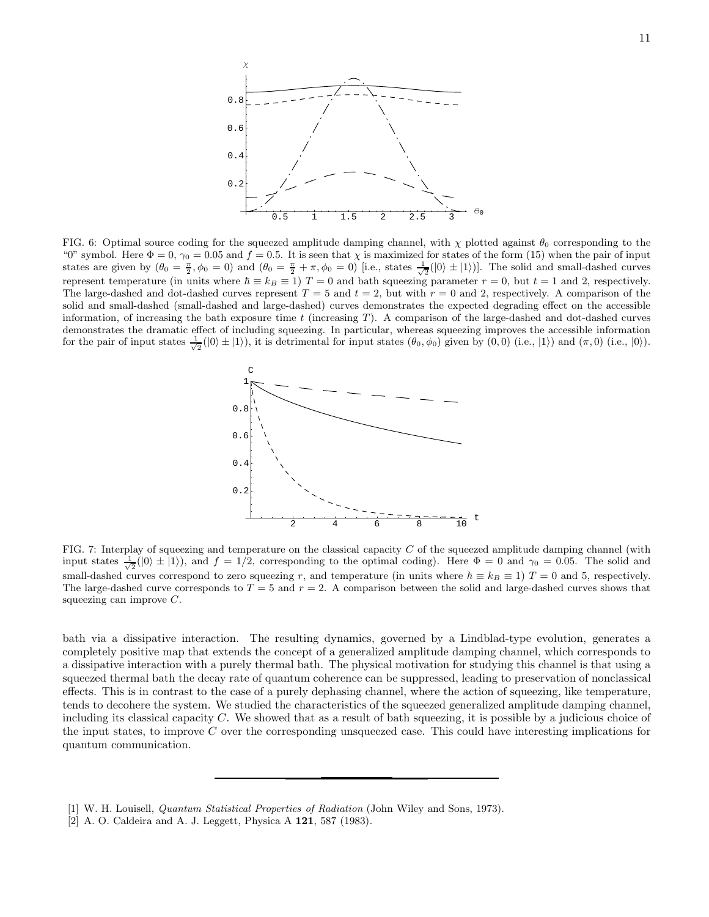

FIG. 6: Optimal source coding for the squeezed amplitude damping channel, with  $\chi$  plotted against  $\theta_0$  corresponding to the "0" symbol. Here  $\Phi = 0$ ,  $\gamma_0 = 0.05$  and  $f = 0.5$ . It is seen that  $\chi$  is maximized for states of the form (15) when the pair of input states are given by  $(\theta_0 = \frac{\pi}{2}, \phi_0 = 0)$  and  $(\theta_0 = \frac{\pi}{2} + \pi, \phi_0 = 0)$  [i.e., states  $\frac{1}{\sqrt{2}}(|0\rangle \pm |1\rangle)$ ]. The solid and small-dashed curves represent temperature (in units where  $\hbar \equiv k_B \equiv 1$ )  $T = 0$  and bath squeezing parameter  $r = 0$ , but  $t = 1$  and 2, respectively. The large-dashed and dot-dashed curves represent  $T = 5$  and  $t = 2$ , but with  $r = 0$  and 2, respectively. A comparison of the solid and small-dashed (small-dashed and large-dashed) curves demonstrates the expected degrading effect on the accessible information, of increasing the bath exposure time  $t$  (increasing  $T$ ). A comparison of the large-dashed and dot-dashed curves demonstrates the dramatic effect of including squeezing. In particular, whereas squeezing improves the accessible information for the pair of input states  $\frac{1}{\sqrt{2}}(|0\rangle \pm |1\rangle)$ , it is detrimental for input states  $(\theta_0, \phi_0)$  given by  $(0, 0)$  (i.e.,  $|1\rangle$ ) and  $(\pi, 0)$  (i.e.,  $|0\rangle$ ).



FIG. 7: Interplay of squeezing and temperature on the classical capacity C of the squeezed amplitude damping channel (with input states  $\frac{1}{\sqrt{2}}(|0\rangle \pm |1\rangle)$ , and  $f = 1/2$ , corresponding to the optimal coding). Here  $\Phi = 0$  and  $\gamma_0 = 0.05$ . The solid and small-dashed curves correspond to zero squeezing r, and temperature (in units where  $\hbar \equiv k_B \equiv 1$ )  $T = 0$  and 5, respectively. The large-dashed curve corresponds to  $T = 5$  and  $r = 2$ . A comparison between the solid and large-dashed curves shows that squeezing can improve  $C$ .

bath via a dissipative interaction. The resulting dynamics, governed by a Lindblad-type evolution, generates a completely positive map that extends the concept of a generalized amplitude damping channel, which corresponds to a dissipative interaction with a purely thermal bath. The physical motivation for studying this channel is that using a squeezed thermal bath the decay rate of quantum coherence can be suppressed, leading to preservation of nonclassical effects. This is in contrast to the case of a purely dephasing channel, where the action of squeezing, like temperature, tends to decohere the system. We studied the characteristics of the squeezed generalized amplitude damping channel, including its classical capacity  $C$ . We showed that as a result of bath squeezing, it is possible by a judicious choice of the input states, to improve C over the corresponding unsqueezed case. This could have interesting implications for quantum communication.

<sup>[1]</sup> W. H. Louisell, Quantum Statistical Properties of Radiation (John Wiley and Sons, 1973).

<sup>[2]</sup> A. O. Caldeira and A. J. Leggett, Physica A 121, 587 (1983).